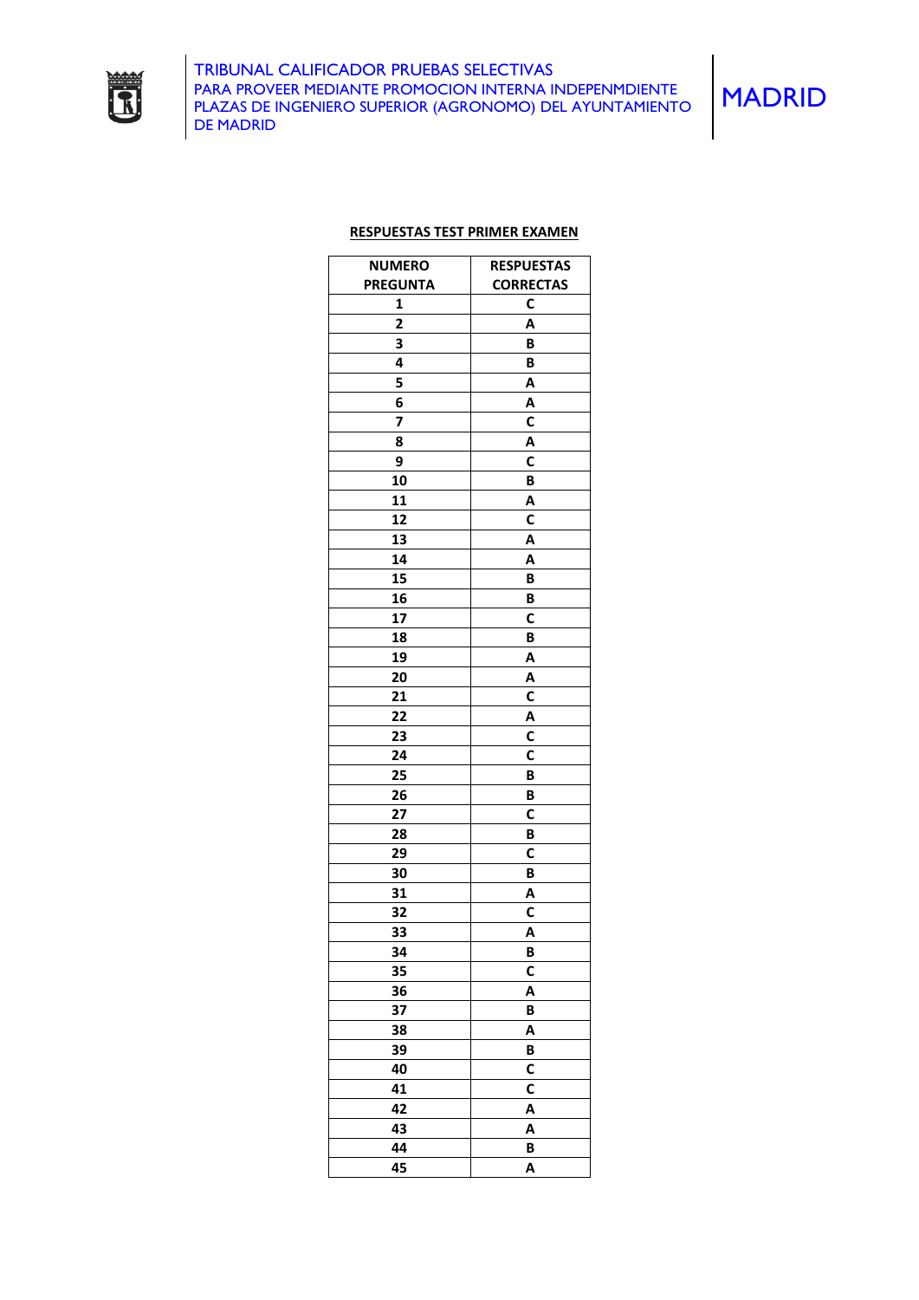

## **RESPUESTAS TEST PRIMER EXAMEN**

| <b>NUMERO</b>           | <b>RESPUESTAS</b> |
|-------------------------|-------------------|
| <b>PREGUNTA</b>         | <b>CORRECTAS</b>  |
| 1                       | C                 |
| $\overline{\mathbf{c}}$ | A                 |
| 3                       | B                 |
| 4                       | B                 |
| 5                       | Α                 |
| 6                       | Α                 |
| 7                       | C                 |
|                         |                   |
| 8                       | Α                 |
| 9                       | C                 |
| 10                      | B                 |
| 11                      | Α                 |
| 12                      | C                 |
| 13                      | Α                 |
| 14                      | Α                 |
| 15                      | B                 |
| 16                      | B                 |
| 17                      | C                 |
| 18                      | В                 |
| 19                      | Α                 |
| 20                      | Α                 |
| 21                      | C                 |
| 22                      | Α                 |
| 23                      | C                 |
| 24                      | C                 |
| 25                      | B                 |
| 26                      | B                 |
| 27                      | C                 |
| 28                      | B                 |
| 29                      | C                 |
| 30                      | B                 |
| 31                      | Α                 |
| 32                      | С                 |
| 33                      | Α                 |
| 34                      | B                 |
|                         |                   |
| 35                      | C                 |
| 36                      | Α                 |
| 37                      | B                 |
| 38                      | Α                 |
| 39                      | B                 |
| 40                      | $\mathbf c$       |
| 41                      | C                 |
| 42                      | A                 |
| 43                      | Α                 |
| 44                      | B                 |
| 45                      | Α                 |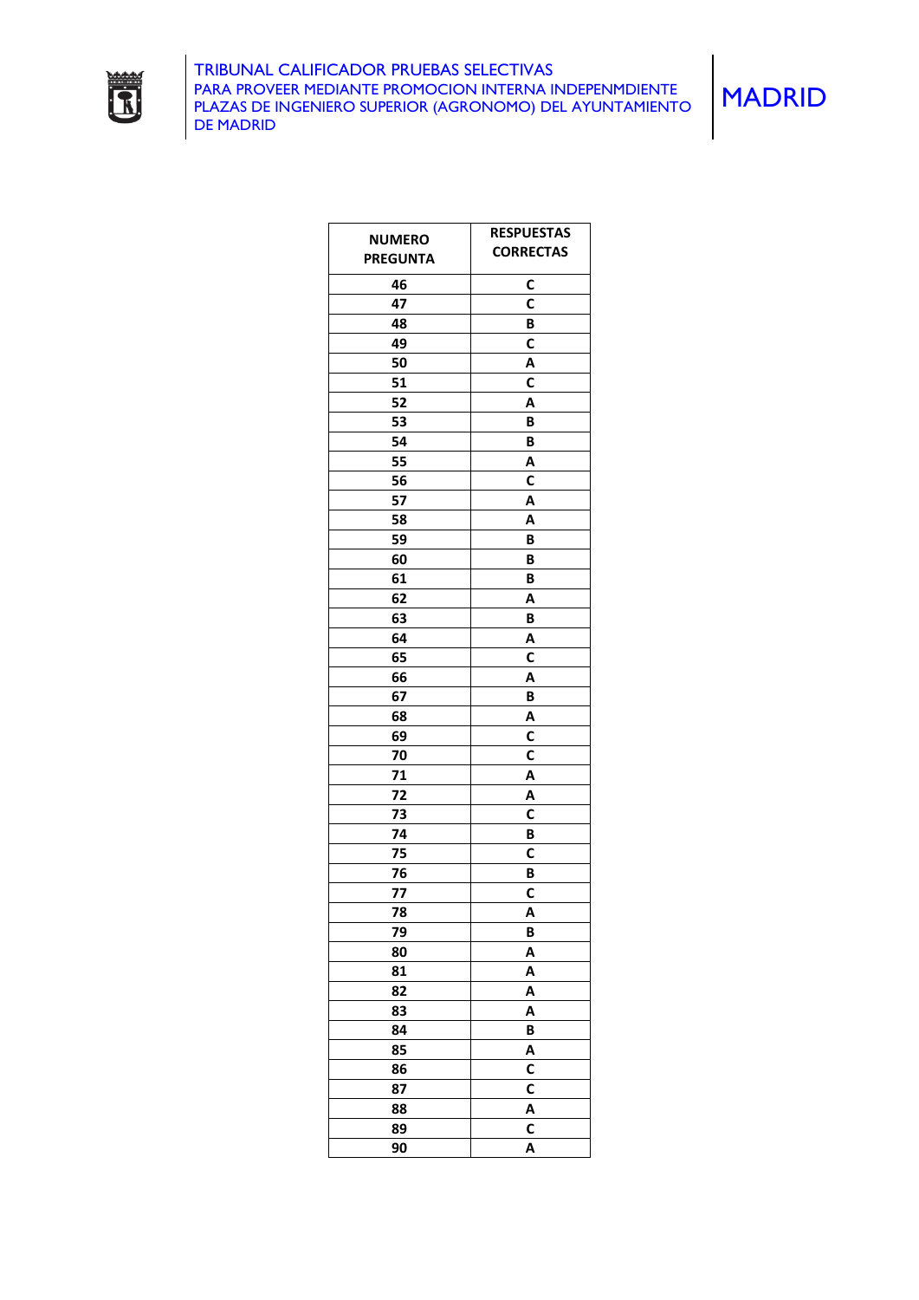

| <b>NUMERO</b>   | <b>RESPUESTAS</b> |
|-----------------|-------------------|
| <b>PREGUNTA</b> | <b>CORRECTAS</b>  |
|                 |                   |
| 46              | C<br>$\mathbf c$  |
| 47              |                   |
| 48              | B                 |
| 49              | $\mathbf c$       |
| 50              | Α                 |
| 51              | C                 |
| 52              | Α                 |
| 53              | B                 |
| 54              | B                 |
| 55              | Α                 |
| 56              | $\mathbf c$       |
| 57              | Α                 |
| 58              | A                 |
| 59              | B                 |
| 60              | B                 |
| 61              | B                 |
| 62              | Α                 |
| 63              | B                 |
| 64              | A                 |
| 65              | $\mathbf c$       |
| 66              | A                 |
| 67              | B                 |
| 68              | Α                 |
| 69              | С                 |
| 70              | C                 |
| 71              | Α                 |
| 72              | Α                 |
| 73              | C                 |
| 74              | B                 |
| 75              | C                 |
| 76              | В                 |
| 77              | C                 |
| 78              | Α                 |
| 79              | B                 |
| 80              | A                 |
| 81              | A                 |
| 82              | A                 |
| 83              | A                 |
| 84              | B                 |
| 85              | A                 |
| 86              | C                 |
| 87              | C                 |
| 88              | Α                 |
| 89              | C                 |
| 90              | A                 |
|                 |                   |

MADRID